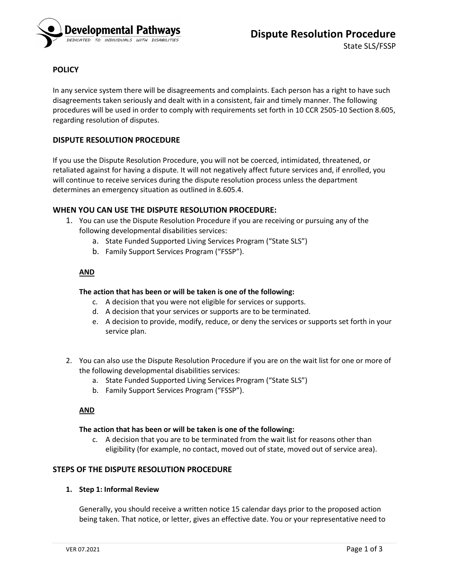

# **POLICY**

In any service system there will be disagreements and complaints. Each person has a right to have such disagreements taken seriously and dealt with in a consistent, fair and timely manner. The following procedures will be used in order to comply with requirements set forth in 10 CCR 2505-10 Section 8.605, regarding resolution of disputes.

# **DISPUTE RESOLUTION PROCEDURE**

If you use the Dispute Resolution Procedure, you will not be coerced, intimidated, threatened, or retaliated against for having a dispute. It will not negatively affect future services and, if enrolled, you will continue to receive services during the dispute resolution process unless the department determines an emergency situation as outlined in 8.605.4.

# **WHEN YOU CAN USE THE DISPUTE RESOLUTION PROCEDURE:**

- 1. You can use the Dispute Resolution Procedure if you are receiving or pursuing any of the following developmental disabilities services:
	- a. State Funded Supported Living Services Program ("State SLS")
	- b. Family Support Services Program ("FSSP").

# **AND**

### **The action that has been or will be taken is one of the following:**

- c. A decision that you were not eligible for services or supports.
- d. A decision that your services or supports are to be terminated.
- e. A decision to provide, modify, reduce, or deny the services or supports set forth in your service plan.
- 2. You can also use the Dispute Resolution Procedure if you are on the wait list for one or more of the following developmental disabilities services:
	- a. State Funded Supported Living Services Program ("State SLS")
	- b. Family Support Services Program ("FSSP").

#### **AND**

#### **The action that has been or will be taken is one of the following:**

c. A decision that you are to be terminated from the wait list for reasons other than eligibility (for example, no contact, moved out of state, moved out of service area).

## **STEPS OF THE DISPUTE RESOLUTION PROCEDURE**

#### **1. Step 1: Informal Review**

Generally, you should receive a written notice 15 calendar days prior to the proposed action being taken. That notice, or letter, gives an effective date. You or your representative need to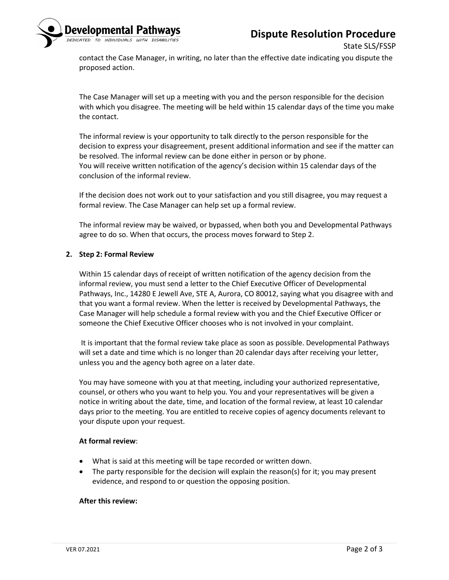# **Dispute Resolution Procedure**



State SLS/FSSP

contact the Case Manager, in writing, no later than the effective date indicating you dispute the proposed action.

The Case Manager will set up a meeting with you and the person responsible for the decision with which you disagree. The meeting will be held within 15 calendar days of the time you make the contact.

The informal review is your opportunity to talk directly to the person responsible for the decision to express your disagreement, present additional information and see if the matter can be resolved. The informal review can be done either in person or by phone. You will receive written notification of the agency's decision within 15 calendar days of the conclusion of the informal review.

If the decision does not work out to your satisfaction and you still disagree, you may request a formal review. The Case Manager can help set up a formal review.

The informal review may be waived, or bypassed, when both you and Developmental Pathways agree to do so. When that occurs, the process moves forward to Step 2.

### **2. Step 2: Formal Review**

Within 15 calendar days of receipt of written notification of the agency decision from the informal review, you must send a letter to the Chief Executive Officer of Developmental Pathways, Inc., 14280 E Jewell Ave, STE A, Aurora, CO 80012, saying what you disagree with and that you want a formal review. When the letter is received by Developmental Pathways, the Case Manager will help schedule a formal review with you and the Chief Executive Officer or someone the Chief Executive Officer chooses who is not involved in your complaint.

It is important that the formal review take place as soon as possible. Developmental Pathways will set a date and time which is no longer than 20 calendar days after receiving your letter, unless you and the agency both agree on a later date.

You may have someone with you at that meeting, including your authorized representative, counsel, or others who you want to help you. You and your representatives will be given a notice in writing about the date, time, and location of the formal review, at least 10 calendar days prior to the meeting. You are entitled to receive copies of agency documents relevant to your dispute upon your request.

#### **At formal review**:

- What is said at this meeting will be tape recorded or written down.
- The party responsible for the decision will explain the reason(s) for it; you may present evidence, and respond to or question the opposing position.

#### **After this review:**